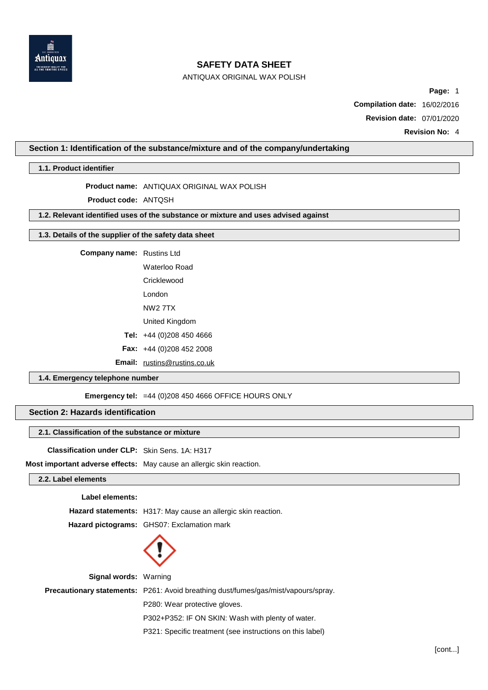

# ANTIQUAX ORIGINAL WAX POLISH

**Page:** 1

**Compilation date:** 16/02/2016

**Revision date:** 07/01/2020

**Revision No:** 4

# **Section 1: Identification of the substance/mixture and of the company/undertaking**

**1.1. Product identifier**

### **Product name:** ANTIQUAX ORIGINAL WAX POLISH

**Product code:** ANTQSH

## **1.2. Relevant identified uses of the substance or mixture and uses advised against**

## **1.3. Details of the supplier of the safety data sheet**

**Company name:** Rustins Ltd

Waterloo Road

**Cricklewood** 

London NW2 7TX

United Kingdom

**Tel:** +44 (0)208 450 4666

**Fax:** +44 (0)208 452 2008

**Email:** [rustins@rustins.co.uk](mailto:rustins@rustins.co.uk)

### **1.4. Emergency telephone number**

**Emergency tel:** =44 (0)208 450 4666 OFFICE HOURS ONLY

## **Section 2: Hazards identification**

# **2.1. Classification of the substance or mixture**

**Classification under CLP:** Skin Sens. 1A: H317

**Most important adverse effects:** May cause an allergic skin reaction.

# **2.2. Label elements**

**Label elements:**

**Hazard statements:** H317: May cause an allergic skin reaction.

**Hazard pictograms:** GHS07: Exclamation mark



**Signal words:** Warning

**Precautionary statements:** P261: Avoid breathing dust/fumes/gas/mist/vapours/spray.

P280: Wear protective gloves.

P302+P352: IF ON SKIN: Wash with plenty of water.

P321: Specific treatment (see instructions on this label)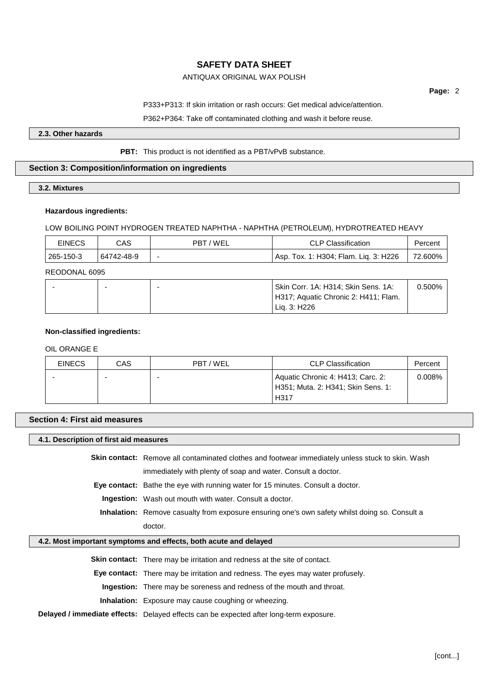# ANTIQUAX ORIGINAL WAX POLISH

**Page:** 2

P333+P313: If skin irritation or rash occurs: Get medical advice/attention.

P362+P364: Take off contaminated clothing and wash it before reuse.

**2.3. Other hazards**

**PBT:** This product is not identified as a PBT/vPvB substance.

# **Section 3: Composition/information on ingredients**

### **3.2. Mixtures**

### **Hazardous ingredients:**

### LOW BOILING POINT HYDROGEN TREATED NAPHTHA - NAPHTHA (PETROLEUM), HYDROTREATED HEAVY

| <b>EINECS</b> | CAS        | 'WEL<br>PBT | <b>CLP Classification</b>                  | Percent |
|---------------|------------|-------------|--------------------------------------------|---------|
| 265-150-3     | 64742-48-9 |             | . Tox. 1: H304; Flam. Lig. 3: H226<br>Asp. | 72.600% |

### REODONAL 6095

|  | Skin Corr. 1A: H314; Skin Sens. 1A:<br>H317; Aquatic Chronic 2: H411; Flam. | 0.500% |
|--|-----------------------------------------------------------------------------|--------|
|  | Lia. 3: H226                                                                |        |

### **Non-classified ingredients:**

# OIL ORANGE E

| <b>EINECS</b> | CAS | PBT / WEL | <b>CLP Classification</b>                                                       | Percent |
|---------------|-----|-----------|---------------------------------------------------------------------------------|---------|
|               |     |           | Aquatic Chronic 4: H413; Carc. 2:<br>H351; Muta. 2: H341; Skin Sens. 1:<br>H317 | 0.008%  |

# **Section 4: First aid measures**

# **4.1. Description of first aid measures**

**Skin contact:** Remove all contaminated clothes and footwear immediately unless stuck to skin. Wash

immediately with plenty of soap and water. Consult a doctor.

**Eye contact:** Bathe the eye with running water for 15 minutes. Consult a doctor.

**Ingestion:** Wash out mouth with water. Consult a doctor.

**Inhalation:** Remove casualty from exposure ensuring one's own safety whilst doing so. Consult a doctor.

### **4.2. Most important symptoms and effects, both acute and delayed**

**Skin contact:** There may be irritation and redness at the site of contact.

**Eye contact:** There may be irritation and redness. The eyes may water profusely.

**Ingestion:** There may be soreness and redness of the mouth and throat.

**Inhalation:** Exposure may cause coughing or wheezing.

**Delayed / immediate effects:** Delayed effects can be expected after long-term exposure.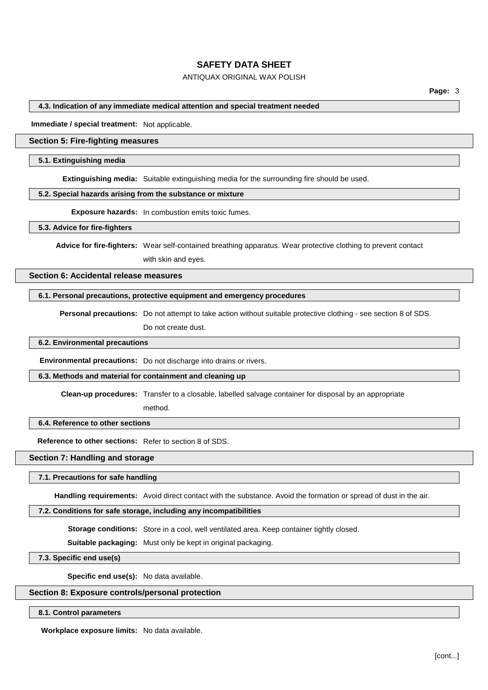# ANTIQUAX ORIGINAL WAX POLISH

#### **4.3. Indication of any immediate medical attention and special treatment needed**

**Immediate / special treatment:** Not applicable.

### **Section 5: Fire-fighting measures**

#### **5.1. Extinguishing media**

**Extinguishing media:** Suitable extinguishing media for the surrounding fire should be used.

## **5.2. Special hazards arising from the substance or mixture**

**Exposure hazards:** In combustion emits toxic fumes.

**5.3. Advice for fire-fighters**

**Advice for fire-fighters:** Wear self-contained breathing apparatus. Wear protective clothing to prevent contact with skin and eyes.

## **Section 6: Accidental release measures**

#### **6.1. Personal precautions, protective equipment and emergency procedures**

**Personal precautions:** Do not attempt to take action without suitable protective clothing - see section 8 of SDS. Do not create dust.

#### **6.2. Environmental precautions**

**Environmental precautions:** Do not discharge into drains or rivers.

method.

#### **6.3. Methods and material for containment and cleaning up**

**Clean-up procedures:** Transfer to a closable, labelled salvage container for disposal by an appropriate

# **6.4. Reference to other sections**

**Reference to other sections:** Refer to section 8 of SDS.

#### **Section 7: Handling and storage**

#### **7.1. Precautions for safe handling**

**Handling requirements:** Avoid direct contact with the substance. Avoid the formation or spread of dust in the air.

### **7.2. Conditions for safe storage, including any incompatibilities**

**Storage conditions:** Store in a cool, well ventilated area. Keep container tightly closed.

**Suitable packaging:** Must only be kept in original packaging.

**7.3. Specific end use(s)**

**Specific end use(s):** No data available.

### **Section 8: Exposure controls/personal protection**

#### **8.1. Control parameters**

**Workplace exposure limits:** No data available.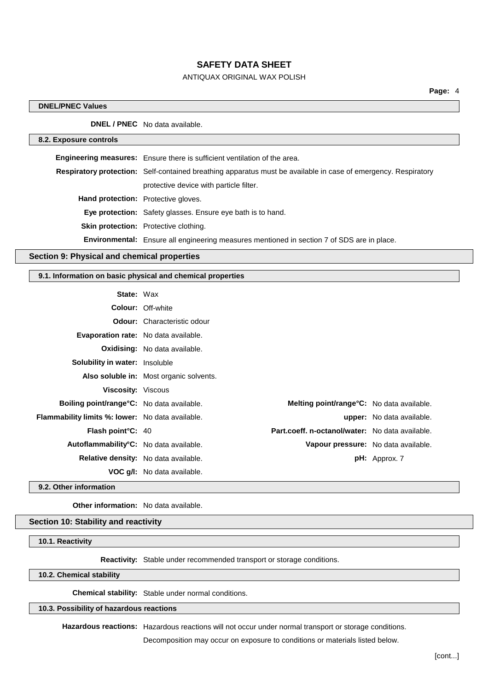# ANTIQUAX ORIGINAL WAX POLISH

## **DNEL/PNEC Values**

**DNEL / PNEC** No data available.

### **8.2. Exposure controls**

| Engineering measures: Ensure there is sufficient ventilation of the area. |                                                                                                                       |
|---------------------------------------------------------------------------|-----------------------------------------------------------------------------------------------------------------------|
|                                                                           | <b>Respiratory protection:</b> Self-contained breathing apparatus must be available in case of emergency. Respiratory |
|                                                                           | protective device with particle filter.                                                                               |
| <b>Hand protection:</b> Protective gloves.                                |                                                                                                                       |
|                                                                           | <b>Eye protection:</b> Safety glasses. Ensure eye bath is to hand.                                                    |
|                                                                           | Skin protection: Protective clothing.                                                                                 |
|                                                                           | <b>Environmental:</b> Ensure all engineering measures mentioned in section 7 of SDS are in place.                     |
|                                                                           |                                                                                                                       |

# **Section 9: Physical and chemical properties**

## **9.1. Information on basic physical and chemical properties**

| <b>State: Wax</b>                                   |                                         |                                                   |
|-----------------------------------------------------|-----------------------------------------|---------------------------------------------------|
|                                                     | <b>Colour: Off-white</b>                |                                                   |
|                                                     | <b>Odour:</b> Characteristic odour      |                                                   |
| Evaporation rate: No data available.                |                                         |                                                   |
|                                                     | <b>Oxidising:</b> No data available.    |                                                   |
| Solubility in water: Insoluble                      |                                         |                                                   |
|                                                     | Also soluble in: Most organic solvents. |                                                   |
| <b>Viscosity: Viscous</b>                           |                                         |                                                   |
| Boiling point/range°C: No data available.           |                                         | <b>Melting point/range °C:</b> No data available. |
| Flammability limits %: lower: No data available.    |                                         | <b>upper:</b> No data available.                  |
| Flash point°C: 40                                   |                                         | Part.coeff. n-octanol/water: No data available.   |
| Autoflammability <sup>°</sup> C: No data available. |                                         | Vapour pressure: No data available.               |
|                                                     | Relative density: No data available.    | $pH:$ Approx. 7                                   |
|                                                     | <b>VOC g/l:</b> No data available.      |                                                   |

**9.2. Other information**

**Other information:** No data available.

### **Section 10: Stability and reactivity**

**10.1. Reactivity**

**Reactivity:** Stable under recommended transport or storage conditions.

#### **10.2. Chemical stability**

**Chemical stability:** Stable under normal conditions.

# **10.3. Possibility of hazardous reactions**

**Hazardous reactions:** Hazardous reactions will not occur under normal transport or storage conditions.

Decomposition may occur on exposure to conditions or materials listed below.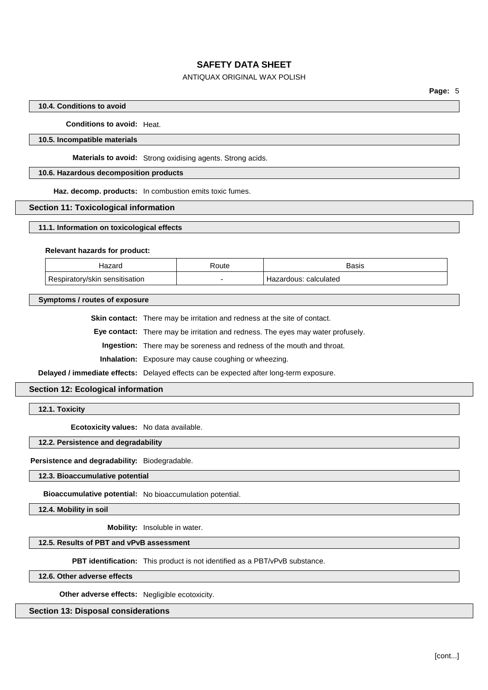# ANTIQUAX ORIGINAL WAX POLISH

### **10.4. Conditions to avoid**

**Conditions to avoid:** Heat.

### **10.5. Incompatible materials**

**Materials to avoid:** Strong oxidising agents. Strong acids.

## **10.6. Hazardous decomposition products**

**Haz. decomp. products:** In combustion emits toxic fumes.

### **Section 11: Toxicological information**

### **11.1. Information on toxicological effects**

#### **Relevant hazards for product:**

| Hazaro                              | रेoute | Basis                    |
|-------------------------------------|--------|--------------------------|
| Respiratory/skin<br>ı sensitisation | -      | calculated<br>Hazardous: |

**Symptoms / routes of exposure**

**Skin contact:** There may be irritation and redness at the site of contact.

**Eye contact:** There may be irritation and redness. The eyes may water profusely.

**Ingestion:** There may be soreness and redness of the mouth and throat.

**Inhalation:** Exposure may cause coughing or wheezing.

**Delayed / immediate effects:** Delayed effects can be expected after long-term exposure.

# **Section 12: Ecological information**

**12.1. Toxicity**

**Ecotoxicity values:** No data available.

**12.2. Persistence and degradability**

**Persistence and degradability:** Biodegradable.

**12.3. Bioaccumulative potential**

**Bioaccumulative potential:** No bioaccumulation potential.

**12.4. Mobility in soil**

**Mobility:** Insoluble in water.

# **12.5. Results of PBT and vPvB assessment**

**PBT identification:** This product is not identified as a PBT/vPvB substance.

**12.6. Other adverse effects**

**Other adverse effects:** Negligible ecotoxicity.

**Section 13: Disposal considerations**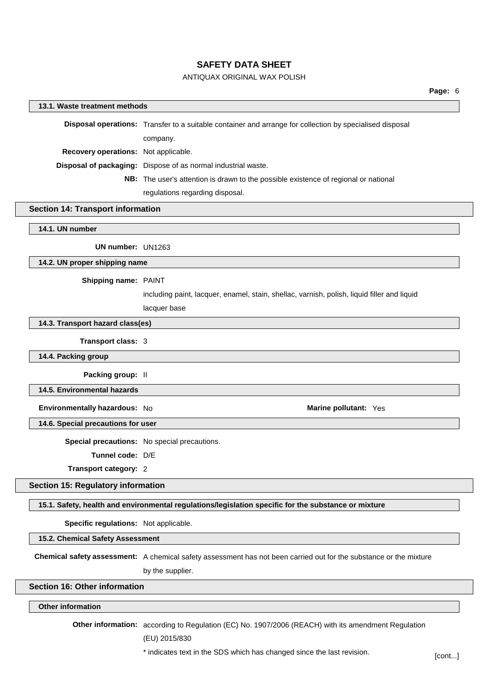# ANTIQUAX ORIGINAL WAX POLISH

### **13.1. Waste treatment methods**

**Disposal operations:** Transfer to a suitable container and arrange for collection by specialised disposal company. **Recovery operations:** Not applicable. **Disposal of packaging:** Dispose of as normal industrial waste. **NB:** The user's attention is drawn to the possible existence of regional or national regulations regarding disposal.

**Section 14: Transport information**

#### **14.1. UN number**

**UN number:** UN1263

#### **14.2. UN proper shipping name**

#### **Shipping name:** PAINT

including paint, lacquer, enamel, stain, shellac, varnish, polish, liquid filler and liquid

lacquer base

### **14.3. Transport hazard class(es)**

#### **Transport class:** 3

**14.4. Packing group**

**Packing group:** II

## **14.5. Environmental hazards**

**Environmentally hazardous:** No **Marine Marine Marine Marine Marine Marine Marine Marine Marine Marine Marine Marine Marine Marine Marine Marine Marine Marine Marine Marine Marine**

**14.6. Special precautions for user**

**Special precautions:** No special precautions.

**Tunnel code:** D/E

**Transport category:** 2

## **Section 15: Regulatory information**

**15.1. Safety, health and environmental regulations/legislation specific for the substance or mixture**

**Specific regulations:** Not applicable.

**15.2. Chemical Safety Assessment**

**Chemical safety assessment:** A chemical safety assessment has not been carried out for the substance or the mixture by the supplier.

#### **Section 16: Other information**

### **Other information**

**Other information:** according to Regulation (EC) No. 1907/2006 (REACH) with its amendment Regulation

(EU) 2015/830

\* indicates text in the SDS which has changed since the last revision. [cont...]